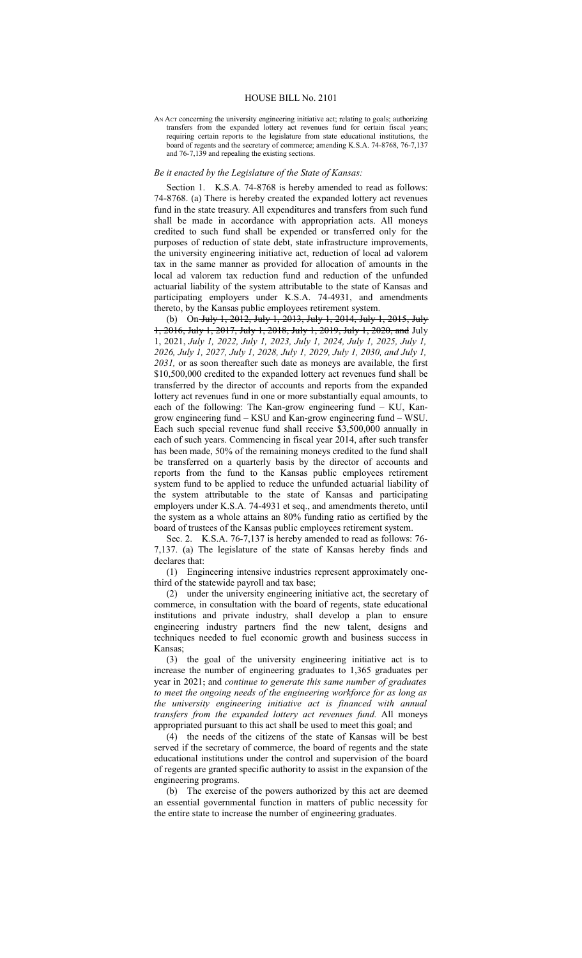## HOUSE BILL No. 2101

AN ACT concerning the university engineering initiative act; relating to goals; authorizing transfers from the expanded lottery act revenues fund for certain fiscal years; requiring certain reports to the legislature from state educational institutions, the board of regents and the secretary of commerce; amending K.S.A. 74-8768, 76-7,137 and 76-7,139 and repealing the existing sections.

## *Be it enacted by the Legislature of the State of Kansas:*

Section 1. K.S.A. 74-8768 is hereby amended to read as follows: 74-8768. (a) There is hereby created the expanded lottery act revenues fund in the state treasury. All expenditures and transfers from such fund shall be made in accordance with appropriation acts. All moneys credited to such fund shall be expended or transferred only for the purposes of reduction of state debt, state infrastructure improvements, the university engineering initiative act, reduction of local ad valorem tax in the same manner as provided for allocation of amounts in the local ad valorem tax reduction fund and reduction of the unfunded actuarial liability of the system attributable to the state of Kansas and participating employers under K.S.A. 74-4931, and amendments thereto, by the Kansas public employees retirement system.

(b) On July 1, 2012, July 1, 2013, July 1, 2014, July 1, 2015, July 1, 2016, July 1, 2017, July 1, 2018, July 1, 2019, July 1, 2020, and July 1, 2021, *July 1, 2022, July 1, 2023, July 1, 2024, July 1, 2025, July 1, 2026, July 1, 2027, July 1, 2028, July 1, 2029, July 1, 2030, and July 1, 2031,* or as soon thereafter such date as moneys are available, the first \$10,500,000 credited to the expanded lottery act revenues fund shall be transferred by the director of accounts and reports from the expanded lottery act revenues fund in one or more substantially equal amounts, to each of the following: The Kan-grow engineering fund – KU, Kangrow engineering fund – KSU and Kan-grow engineering fund – WSU. Each such special revenue fund shall receive \$3,500,000 annually in each of such years. Commencing in fiscal year 2014, after such transfer has been made, 50% of the remaining moneys credited to the fund shall be transferred on a quarterly basis by the director of accounts and reports from the fund to the Kansas public employees retirement system fund to be applied to reduce the unfunded actuarial liability of the system attributable to the state of Kansas and participating employers under K.S.A. 74-4931 et seq., and amendments thereto, until the system as a whole attains an 80% funding ratio as certified by the board of trustees of the Kansas public employees retirement system.

Sec. 2. K.S.A. 76-7,137 is hereby amended to read as follows: 76- 7,137. (a) The legislature of the state of Kansas hereby finds and declares that:

(1) Engineering intensive industries represent approximately onethird of the statewide payroll and tax base;

(2) under the university engineering initiative act, the secretary of commerce, in consultation with the board of regents, state educational institutions and private industry, shall develop a plan to ensure engineering industry partners find the new talent, designs and techniques needed to fuel economic growth and business success in Kansas;

(3) the goal of the university engineering initiative act is to increase the number of engineering graduates to 1,365 graduates per year in 2021, and *continue to generate this same number of graduates to meet the ongoing needs of the engineering workforce for as long as the university engineering initiative act is financed with annual transfers from the expanded lottery act revenues fund.* All moneys appropriated pursuant to this act shall be used to meet this goal; and

(4) the needs of the citizens of the state of Kansas will be best served if the secretary of commerce, the board of regents and the state educational institutions under the control and supervision of the board of regents are granted specific authority to assist in the expansion of the engineering programs.

(b) The exercise of the powers authorized by this act are deemed an essential governmental function in matters of public necessity for the entire state to increase the number of engineering graduates.